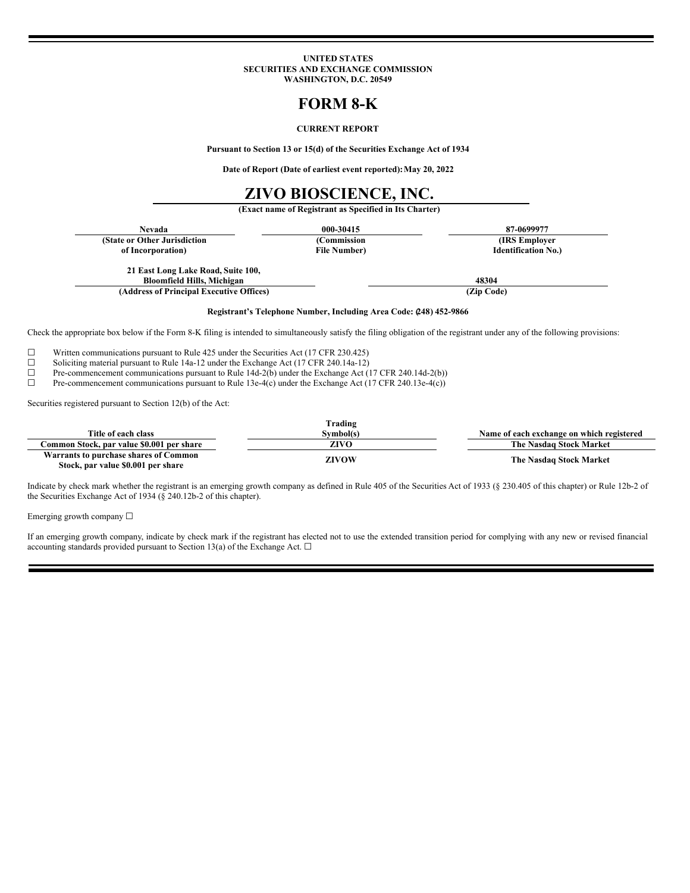#### **UNITED STATES SECURITIES AND EXCHANGE COMMISSION WASHINGTON, D.C. 20549**

# **FORM 8-K**

## **CURRENT REPORT**

**Pursuant to Section 13 or 15(d) of the Securities Exchange Act of 1934**

**Date of Report (Date of earliest event reported):May 20, 2022**

## **ZIVO BIOSCIENCE, INC.**

**(Exact name of Registrant as Specified in Its Charter)**

| Nevada                                                                  | 000-30415            | 87-0699977                 |
|-------------------------------------------------------------------------|----------------------|----------------------------|
| (State or Other Jurisdiction                                            | (Commission          | (IRS Employer)             |
| of Incorporation)                                                       | <b>File Number</b> ) | <b>Identification No.)</b> |
| 21 East Long Lake Road, Suite 100,<br><b>Bloomfield Hills, Michigan</b> |                      | 48304                      |
| (Address of Principal Executive Offices)                                |                      | (Zip Code)                 |

### **Registrant's Telephone Number, Including Area Code: (248) 452-9866**

Check the appropriate box below if the Form 8-K filing is intended to simultaneously satisfy the filing obligation of the registrant under any of the following provisions:

 $\Box$  Written communications pursuant to Rule 425 under the Securities Act (17 CFR 230.425)  $\Box$  Soliciting material pursuant to Rule 14a-12 under the Exchange Act (17 CFR 240.14a-12)

□ Soliciting material pursuit to Rule 14a-12 under the Exchange Act (17 CFR 240.14a-12) The commen cement communications pursuit to Rule 14d-2(b) under the Exchange Act ( □ Pre-commencement communications pursuant to Rule 14d-2(b) under the Exchange Act (17 CFR 240.14d-2(b)) <br>Pre-commencement communications pursuant to Rule 13e-4(c) under the Exchange Act (17 CFR 240.13e-4(c))

Pre-commencement communications pursuant to Rule 13e-4(c) under the Exchange Act (17 CFR 240.13e-4(c))

Securities registered pursuant to Section 12(b) of the Act:

|                                                                             | Trading      |                                           |
|-----------------------------------------------------------------------------|--------------|-------------------------------------------|
| Title of each class                                                         | Svmbol(s)    | Name of each exchange on which registered |
| Common Stock, par value \$0.001 per share                                   | <b>ZIVO</b>  | The Nasdag Stock Market                   |
| Warrants to purchase shares of Common<br>Stock, par value \$0.001 per share | <b>ZIVOW</b> | The Nasdaq Stock Market                   |

Indicate by check mark whether the registrant is an emerging growth company as defined in Rule 405 of the Securities Act of 1933 (§ 230.405 of this chapter) or Rule 12b-2 of the Securities Exchange Act of 1934 (§ 240.12b-2 of this chapter).

Emerging growth company  $\Box$ 

If an emerging growth company, indicate by check mark if the registrant has elected not to use the extended transition period for complying with any new or revised financial accounting standards provided pursuant to Section 13(a) of the Exchange Act.  $\square$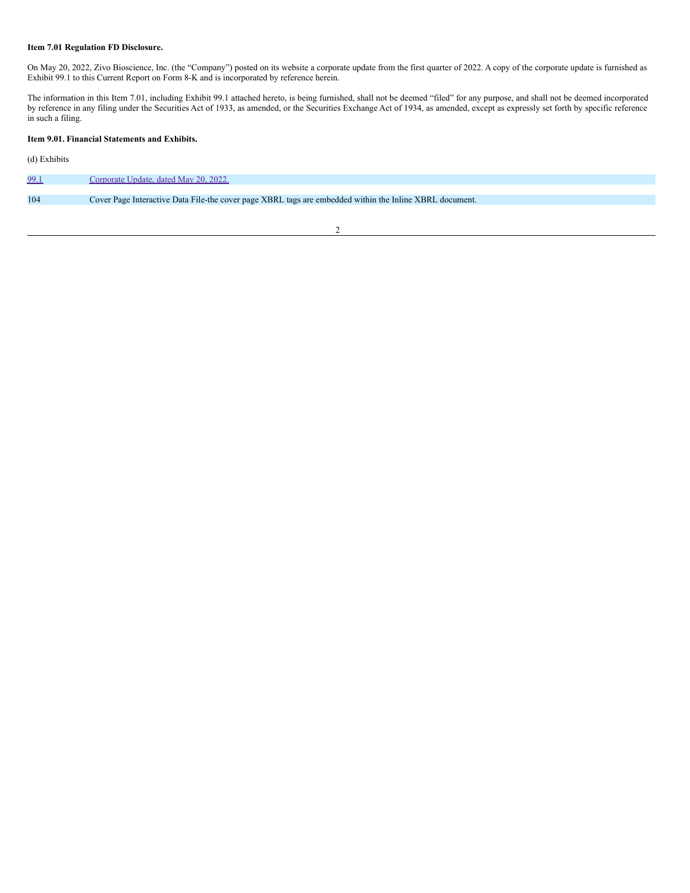## **Item 7.01 Regulation FD Disclosure.**

On May 20, 2022, Zivo Bioscience, Inc. (the "Company") posted on its website a corporate update from the first quarter of 2022. A copy of the corporate update is furnished as Exhibit 99.1 to this Current Report on Form 8-K and is incorporated by reference herein.

The information in this Item 7.01, including Exhibit 99.1 attached hereto, is being furnished, shall not be deemed "filed" for any purpose, and shall not be deemed incorporated by reference in any filing under the Securities Act of 1933, as amended, or the Securities Exchange Act of 1934, as amended, except as expressly set forth by specific reference in such a filing.

## **Item 9.01. Financial Statements and Exhibits.**

(d) Exhibits

| 99.1 | Corporate Update, dated May 20, 2022.                                                                   |
|------|---------------------------------------------------------------------------------------------------------|
|      |                                                                                                         |
| 104  | Cover Page Interactive Data File-the cover page XBRL tags are embedded within the Inline XBRL document. |
|      |                                                                                                         |

2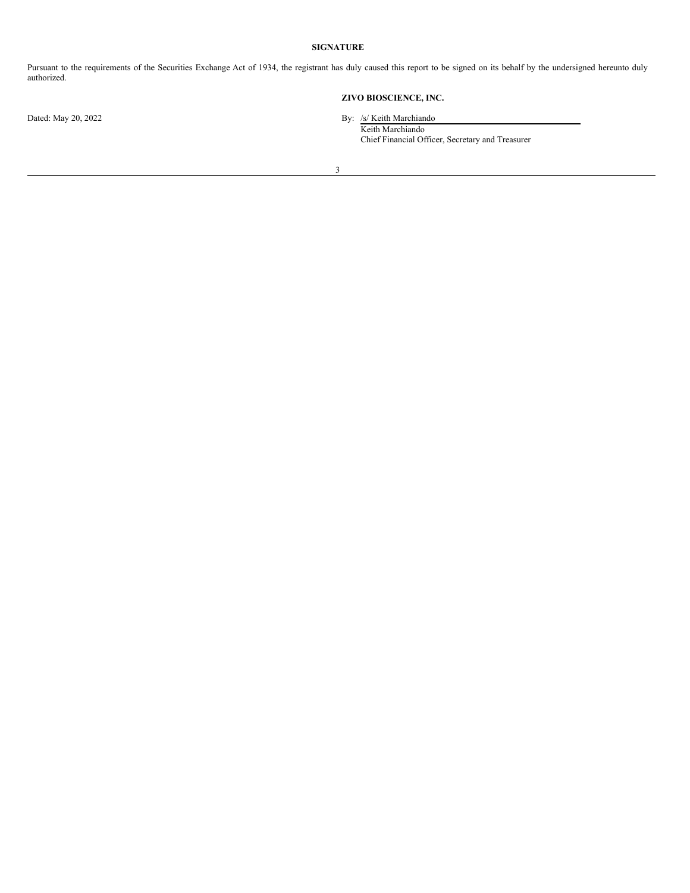## **SIGNATURE**

Pursuant to the requirements of the Securities Exchange Act of 1934, the registrant has duly caused this report to be signed on its behalf by the undersigned hereunto duly authorized.

## **ZIVO BIOSCIENCE, INC.**

Dated: May 20, 2022 By: /s/ Keith Marchiando

Keith Marchiando Chief Financial Officer, Secretary and Treasurer